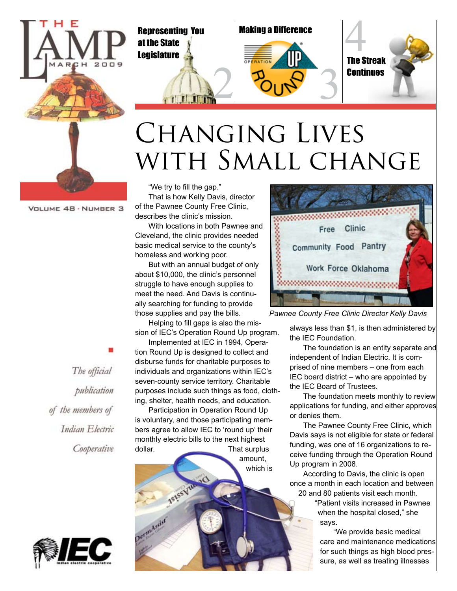

at the State **Legislature** 

**THE TIME** 





# Changing Lives WITH SMALL CHANGE

VOLUME 48 · NUMBER 3

"We try to fill the gap." That is how Kelly Davis, director of the Pawnee County Free Clinic, describes the clinic's mission.

With locations in both Pawnee and Cleveland, the clinic provides needed basic medical service to the county's homeless and working poor.

But with an annual budget of only about \$10,000, the clinic's personnel struggle to have enough supplies to meet the need. And Davis is continually searching for funding to provide those supplies and pay the bills.

Helping to fill gaps is also the mission of IEC's Operation Round Up program.

Implemented at IEC in 1994, Operation Round Up is designed to collect and disburse funds for charitable purposes to individuals and organizations within IEC's seven-county service territory. Charitable purposes include such things as food, clothing, shelter, health needs, and education.

Participation in Operation Round Up is voluntary, and those participating members agree to allow IEC to 'round up' their monthly electric bills to the next highest dollar. That surplus

amount, which is



*Pawnee County Free Clinic Director Kelly Davis*

always less than \$1, is then administered by the IEC Foundation.

The foundation is an entity separate and independent of Indian Electric. It is comprised of nine members – one from each IEC board district – who are appointed by the IEC Board of Trustees.

The foundation meets monthly to review applications for funding, and either approves or denies them.

The Pawnee County Free Clinic, which Davis says is not eligible for state or federal funding, was one of 16 organizations to receive funding through the Operation Round Up program in 2008.

According to Davis, the clinic is open once a month in each location and between 20 and 80 patients visit each month.

"Patient visits increased in Pawnee when the hospital closed," she says.

"We provide basic medical care and maintenance medications for such things as high blood pressure, as well as treating illnesses

The official publication of the members of Indian Electric Cooperative

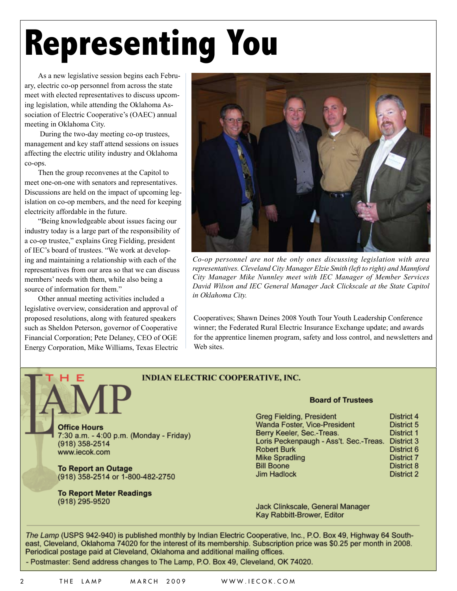# **Representing You**

As a new legislative session begins each February, electric co-op personnel from across the state meet with elected representatives to discuss upcoming legislation, while attending the Oklahoma Association of Electric Cooperative's (OAEC) annual meeting in Oklahoma City.

 During the two-day meeting co-op trustees, management and key staff attend sessions on issues affecting the electric utility industry and Oklahoma co-ops.

Then the group reconvenes at the Capitol to meet one-on-one with senators and representatives. Discussions are held on the impact of upcoming legislation on co-op members, and the need for keeping electricity affordable in the future.

"Being knowledgeable about issues facing our industry today is a large part of the responsibility of a co-op trustee," explains Greg Fielding, president of IEC's board of trustees. "We work at developing and maintaining a relationship with each of the representatives from our area so that we can discuss members' needs with them, while also being a source of information for them."

Other annual meeting activities included a legislative overview, consideration and approval of proposed resolutions, along with featured speakers such as Sheldon Peterson, governor of Cooperative Financial Corporation; Pete Delaney, CEO of OGE Energy Corporation, Mike Williams, Texas Electric



*Co-op personnel are not the only ones discussing legislation with area representatives. Cleveland City Manager Elzie Smith (left to right) and Mannford City Manager Mike Nunnley meet with IEC Manager of Member Services David Wilson and IEC General Manager Jack Clickscale at the State Capitol in Oklahoma City.*

Cooperatives; Shawn Deines 2008 Youth Tour Youth Leadership Conference winner; the Federated Rural Electric Insurance Exchange update; and awards for the apprentice linemen program, safety and loss control, and newsletters and Web sites.

#### **INDIAN ELECTRIC COOPERATIVE, INC.**

**Office Hours** 7:30 a.m. - 4:00 p.m. (Monday - Friday) (918) 358-2514 www.iecok.com

**To Report an Outage** (918) 358-2514 or 1-800-482-2750

**To Report Meter Readings** (918) 295-9520

#### **Board of Trustees**

| <b>Greg Fielding, President</b>        | District 4        |
|----------------------------------------|-------------------|
| Wanda Foster, Vice-President           | District 5        |
| Berry Keeler, Sec.-Treas.              | District 1        |
| Loris Peckenpaugh - Ass't. Sec.-Treas. | District 3        |
| <b>Robert Burk</b>                     | District 6        |
| <b>Mike Spradling</b>                  | <b>District 7</b> |
| <b>Bill Boone</b>                      | District 8        |
| <b>Jim Hadlock</b>                     | District 2        |

Jack Clinkscale, General Manager Kay Rabbitt-Brower, Editor

The Lamp (USPS 942-940) is published monthly by Indian Electric Cooperative, Inc., P.O. Box 49, Highway 64 Southeast, Cleveland, Oklahoma 74020 for the interest of its membership. Subscription price was \$0.25 per month in 2008. Periodical postage paid at Cleveland, Oklahoma and additional mailing offices.

- Postmaster: Send address changes to The Lamp, P.O. Box 49, Cleveland, OK 74020.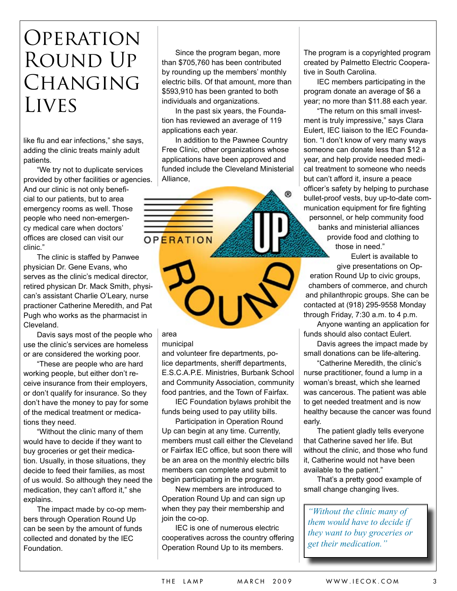### **OPERATION** Round Up CHANGING **LIVES**

like flu and ear infections," she says, adding the clinic treats mainly adult patients.

"We try not to duplicate services provided by other facilities or agencies. And our clinic is not only beneficial to our patients, but to area emergency rooms as well. Those people who need non-emergency medical care when doctors' offices are closed can visit our clinic."

The clinic is staffed by Panwee physician Dr. Gene Evans, who serves as the clinic's medical director, retired physican Dr. Mack Smith, physican's assistant Charlie O'Leary, nurse practioner Catherine Meredith, and Pat Pugh who works as the pharmacist in Cleveland.

Davis says most of the people who use the clinic's services are homeless or are considered the working poor.

"These are people who are hard working people, but either don't receive insurance from their employers, or don't qualify for insurance. So they don't have the money to pay for some of the medical treatment or medications they need.

"Without the clinic many of them would have to decide if they want to buy groceries or get their medication. Usually, in those situations, they decide to feed their families, as most of us would. So although they need the medication, they can't afford it," she explains.

The impact made by co-op members through Operation Round Up can be seen by the amount of funds collected and donated by the IEC Foundation.

Since the program began, more than \$705,760 has been contributed by rounding up the members' monthly electric bills. Of that amount, more than \$593,910 has been granted to both individuals and organizations.

In the past six years, the Foundation has reviewed an average of 119 applications each year.

In addition to the Pawnee Country Free Clinic, other organizations whose applications have been approved and funded include the Cleveland Ministerial Alliance,



area

municipal

and volunteer fire departments, police departments, sheriff departments, E.S.C.A.P.E. Ministries, Burbank School and Community Association, community food pantries, and the Town of Fairfax.

IEC Foundation bylaws prohibit the funds being used to pay utility bills.

Participation in Operation Round Up can begin at any time. Currently, members must call either the Cleveland or Fairfax IEC office, but soon there will be an area on the monthly electric bills members can complete and submit to begin participating in the program.

New members are introduced to Operation Round Up and can sign up when they pay their membership and join the co-op.

IEC is one of numerous electric cooperatives across the country offering Operation Round Up to its members.

The program is a copyrighted program created by Palmetto Electric Cooperative in South Carolina.

IEC members participating in the program donate an average of \$6 a year; no more than \$11.88 each year.

"The return on this small investment is truly impressive," says Clara Eulert, IEC liaison to the IEC Foundation. "I don't know of very many ways someone can donate less than \$12 a year, and help provide needed medical treatment to someone who needs but can't afford it, insure a peace officer's safety by helping to purchase bullet-proof vests, buy up-to-date communication equipment for fire fighting personnel, or help community food banks and ministerial alliances provide food and clothing to those in need."

Eulert is available to give presentations on Operation Round Up to civic groups, chambers of commerce, and church and philanthropic groups. She can be contacted at (918) 295-9558 Monday through Friday, 7:30 a.m. to 4 p.m.

Anyone wanting an application for funds should also contact Eulert.

Davis agrees the impact made by small donations can be life-altering.

"Catherine Meredith, the clinic's nurse practitioner, found a lump in a woman's breast, which she learned was cancerous. The patient was able to get needed treatment and is now healthy because the cancer was found early.

The patient gladly tells everyone that Catherine saved her life. But without the clinic, and those who fund it, Catherine would not have been available to the patient."

That's a pretty good example of small change changing lives.

*"Without the clinic many of them would have to decide if they want to buy groceries or get their medication."*